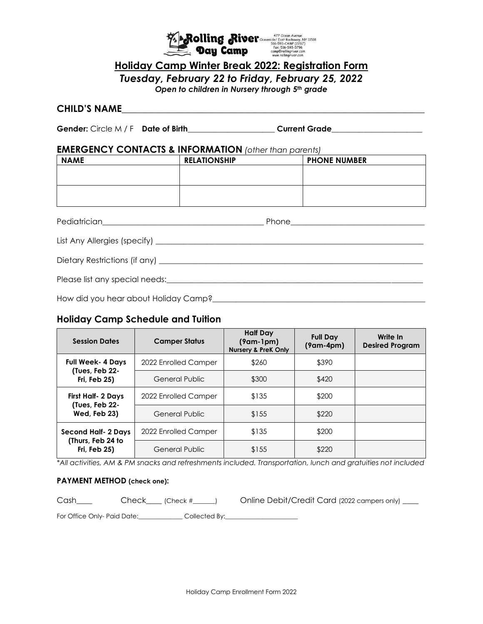

# **Holiday Camp Winter Break 2022: Registration Form**

*Tuesday, February 22 to Friday, February 25, 2022*

*Open to children in Nursery through 5th grade*

## **CHILD'S NAME**\_\_\_\_\_\_\_\_\_\_\_\_\_\_\_\_\_\_\_\_\_\_\_\_\_\_\_\_\_\_\_\_\_\_\_\_\_\_\_\_\_\_\_\_\_\_\_\_\_\_\_\_\_\_\_\_\_\_\_\_\_\_\_\_

Gender: Circle M / F **Date of Birth Current Grade** 

### **EMERGENCY CONTACTS & INFORMATION** *(other than parents)*

| <b>NAME</b> | <b>RELATIONSHIP</b> | <b>PHONE NUMBER</b> |
|-------------|---------------------|---------------------|
|             |                     |                     |
|             |                     |                     |
|             |                     |                     |
|             |                     |                     |
|             |                     |                     |

Pediatrician\_\_\_\_\_\_\_\_\_\_\_\_\_\_\_\_\_\_\_\_\_\_\_\_\_\_\_\_\_\_\_\_\_\_\_\_\_\_\_\_\_ Phone\_\_\_\_\_\_\_\_\_\_\_\_\_\_\_\_\_\_\_\_\_\_\_\_\_\_\_\_\_\_\_\_\_\_

| List Any Allergies (specify) |  |
|------------------------------|--|
|------------------------------|--|

Dietary Restrictions (if any) \_\_\_\_\_\_\_\_\_\_\_\_\_\_\_\_\_\_\_\_\_\_\_\_\_\_\_\_\_\_\_\_\_\_\_\_\_\_\_\_\_\_\_\_\_\_\_\_\_\_\_\_\_\_\_\_\_\_\_\_\_\_\_\_\_\_\_

Please list any special needs:\_\_\_\_\_\_\_\_\_\_\_\_\_\_\_\_\_\_\_\_\_\_\_\_\_\_\_\_\_\_\_\_\_\_\_\_\_\_\_\_\_\_\_\_\_\_\_\_\_\_\_\_\_\_\_\_\_\_\_\_\_\_\_\_\_

How did you hear about Holiday Camp?<br>
<u>Letter and the summannial value</u>

## **Holiday Camp Schedule and Tuition**

| <b>Session Dates</b>                                             | <b>Camper Status</b>  | <b>Half Day</b><br>$(9am-1pm)$<br><b>Nursery &amp; PreK Only</b> | <b>Full Day</b><br>$(9am-4pm)$ | Write In<br><b>Desired Program</b> |
|------------------------------------------------------------------|-----------------------|------------------------------------------------------------------|--------------------------------|------------------------------------|
| <b>Full Week-4 Days</b><br>(Tues, Feb 22-<br><b>Fri, Feb 25)</b> | 2022 Enrolled Camper  | \$260                                                            | \$390                          |                                    |
|                                                                  | General Public        | \$300                                                            | \$420                          |                                    |
| First Half- 2 Days<br>(Tues, Feb 22-<br>Wed, Feb 23)             | 2022 Enrolled Camper  | \$135                                                            | \$200                          |                                    |
|                                                                  | General Public        | \$155                                                            | \$220                          |                                    |
| Second Half- 2 Days<br>(Thurs, Feb 24 to<br><b>Fri, Feb 25)</b>  | 2022 Enrolled Camper  | \$135                                                            | \$200                          |                                    |
|                                                                  | <b>General Public</b> | \$155                                                            | \$220                          |                                    |

*\*All activities, AM & PM snacks and refreshments included. Transportation, lunch and gratuities not included*

### **PAYMENT METHOD (check one):**

Cash\_\_\_\_ Check\_\_\_\_ (Check #\_\_\_\_\_) Online Debit/Credit Card (2022 campers only) \_\_\_

For Office Only- Paid Date:\_\_\_\_\_\_\_\_\_\_\_\_\_\_\_Collected By:\_\_\_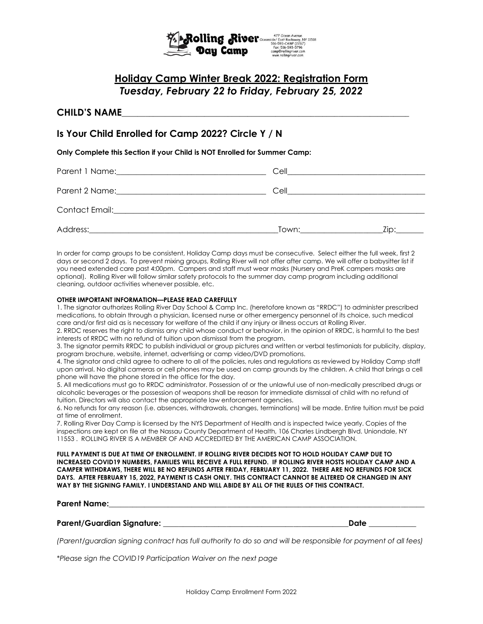

# **Holiday Camp Winter Break 2022: Registration Form** *Tuesday, February 22 to Friday, February 25, 2022*

### **CHILD'S NAME**\_\_\_\_\_\_\_\_\_\_\_\_\_\_\_\_\_\_\_\_\_\_\_\_\_\_\_\_\_\_\_\_\_\_\_\_\_\_\_\_\_\_\_\_\_\_\_\_\_\_\_\_\_\_\_\_\_\_\_\_\_\_\_\_\_\_\_\_\_\_\_\_\_

## **Is Your Child Enrolled for Camp 2022? Circle Y / N**

**Only Complete this Section if your Child is NOT Enrolled for Summer Camp:**

| Parent 1 Name: The contract of the contract of the contract of the contract of the contract of the contract of the contract of the contract of the contract of the contract of the contract of the contract of the contract of | Cell  |      |
|--------------------------------------------------------------------------------------------------------------------------------------------------------------------------------------------------------------------------------|-------|------|
|                                                                                                                                                                                                                                | Cell  |      |
| Contact Email: Executive Contact Email:                                                                                                                                                                                        |       |      |
| Address:                                                                                                                                                                                                                       | Town: | Zip: |

In order for camp groups to be consistent, Holiday Camp days must be consecutive. Select either the full week, first 2 days or second 2 days. To prevent mixing groups, Rolling River will not offer after camp. We will offer a babysitter list if you need extended care past 4:00pm. Campers and staff must wear masks (Nursery and PreK campers masks are optional). Rolling River will follow similar safety protocols to the summer day camp program including additional cleaning, outdoor activities whenever possible, etc.

#### **OTHER IMPORTANT INFORMATION—PLEASE READ CAREFULLY**

1. The signator authorizes Rolling River Day School & Camp Inc. (heretofore known as "RRDC") to administer prescribed medications, to obtain through a physician, licensed nurse or other emergency personnel of its choice, such medical care and/or first aid as is necessary for welfare of the child if any injury or illness occurs at Rolling River.

2. RRDC reserves the right to dismiss any child whose conduct or behavior, in the opinion of RRDC, is harmful to the best interests of RRDC with no refund of tuition upon dismissal from the program.

3. The signator permits RRDC to publish individual or group pictures and written or verbal testimonials for publicity, display, program brochure, website, internet, advertising or camp video/DVD promotions.

4. The signator and child agree to adhere to all of the policies, rules and regulations as reviewed by Holiday Camp staff upon arrival. No digital cameras or cell phones may be used on camp grounds by the children. A child that brings a cell phone will have the phone stored in the office for the day.

5. All medications must go to RRDC administrator. Possession of or the unlawful use of non-medically prescribed drugs or alcoholic beverages or the possession of weapons shall be reason for immediate dismissal of child with no refund of tuition. Directors will also contact the appropriate law enforcement agencies.

6. No refunds for any reason (i.e. absences, withdrawals, changes, terminations) will be made. Entire tuition must be paid at time of enrollment.

7. Rolling River Day Camp is licensed by the NYS Department of Health and is inspected twice yearly. Copies of the inspections are kept on file at the Nassau County Department of Health, 106 Charles Lindbergh Blvd. Uniondale, NY 11553 . ROLLING RIVER IS A MEMBER OF AND ACCREDITED BY THE AMERICAN CAMP ASSOCIATION.

**FULL PAYMENT IS DUE AT TIME OF ENROLLMENT. IF ROLLING RIVER DECIDES NOT TO HOLD HOLIDAY CAMP DUE TO INCREASED COVID19 NUMBERS, FAMILIES WILL RECEIVE A FULL REFUND. IF ROLLING RIVER HOSTS HOLIDAY CAMP AND A CAMPER WITHDRAWS, THERE WILL BE NO REFUNDS AFTER FRIDAY, FEBRUARY 11, 2022. THERE ARE NO REFUNDS FOR SICK DAYS. AFTER FEBRUARY 15, 2022, PAYMENT IS CASH ONLY. THIS CONTRACT CANNOT BE ALTERED OR CHANGED IN ANY WAY BY THE SIGNING FAMILY. I UNDERSTAND AND WILL ABIDE BY ALL OF THE RULES OF THIS CONTRACT.** 

#### **Parent Name:**

#### **Parent/Guardian Signature:** \_\_\_\_\_\_\_\_\_\_\_\_\_\_\_\_\_\_\_\_\_\_\_\_\_\_\_\_\_\_\_\_\_\_\_\_\_\_\_\_\_\_\_\_\_\_**\_Date** \_\_\_\_\_\_\_\_\_\_\_\_

*(Parent/guardian signing contract has full authority to do so and will be responsible for payment of all fees)*

*\*Please sign the COVID19 Participation Waiver on the next page*